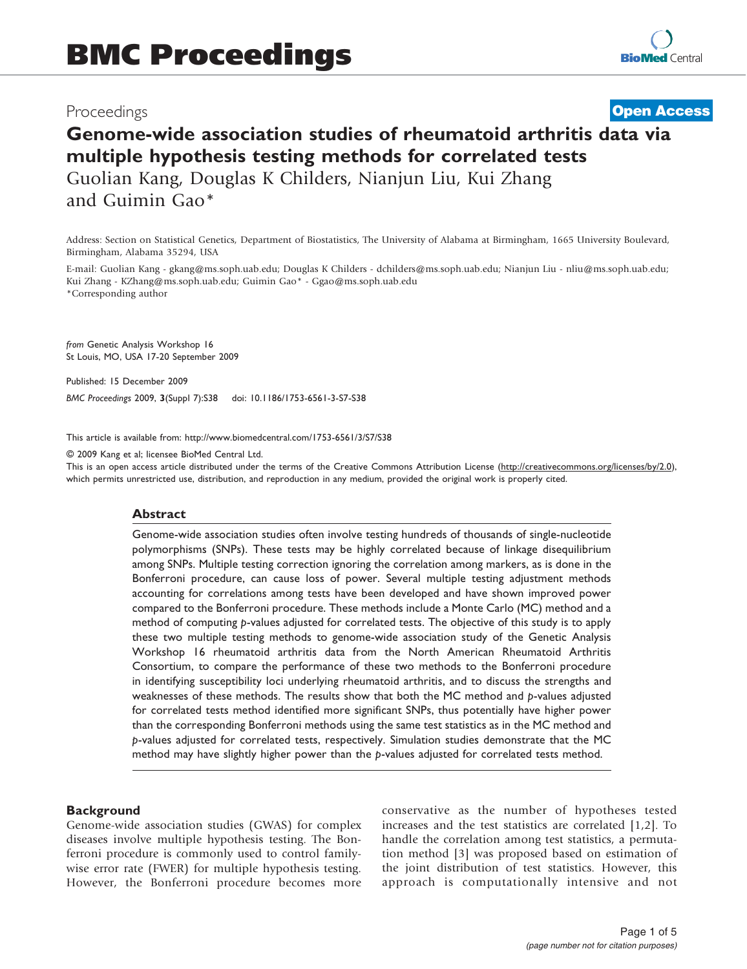# Proceedings

**[Open Access](http://www.biomedcentral.com/info/about/charter/)**

# Genome-wide association studies of rheumatoid arthritis data via multiple hypothesis testing methods for correlated tests Guolian Kang, Douglas K Childers, Nianjun Liu, Kui Zhang and Guimin Gao\*

Address: Section on Statistical Genetics, Department of Biostatistics, The University of Alabama at Birmingham, 1665 University Boulevard, Birmingham, Alabama 35294, USA

E-mail: Guolian Kang - [gkang@ms.soph.uab.edu;](mailto:gkang@ms.soph.uab.edu) Douglas K Childers - [dchilders@ms.soph.uab.edu](mailto:dchilders@ms.soph.uab.edu); Nianjun Liu - [nliu@ms.soph.uab.edu](mailto:nliu@ms.soph.uab.edu); Kui Zhang - [KZhang@ms.soph.uab.edu](mailto:KZhang@ms.soph.uab.edu); Guimin Gao\* - [Ggao@ms.soph.uab.edu](mailto:Ggao@ms.soph.uab.edu) \*Corresponding author

from Genetic Analysis Workshop 16 St Louis, MO, USA 17-20 September 2009

Published: 15 December 2009

BMC Proceedings 2009, 3(Suppl 7):S38 doi: 10.1186/1753-6561-3-S7-S38

This article is available from: http://www.biomedcentral.com/1753-6561/3/S7/S38

© 2009 Kang et al; licensee BioMed Central Ltd.

This is an open access article distributed under the terms of the Creative Commons Attribution License [\(http://creativecommons.org/licenses/by/2.0\)](http://creativecommons.org/licenses/by/2.0), which permits unrestricted use, distribution, and reproduction in any medium, provided the original work is properly cited.

#### Abstract

Genome-wide association studies often involve testing hundreds of thousands of single-nucleotide polymorphisms (SNPs). These tests may be highly correlated because of linkage disequilibrium among SNPs. Multiple testing correction ignoring the correlation among markers, as is done in the Bonferroni procedure, can cause loss of power. Several multiple testing adjustment methods accounting for correlations among tests have been developed and have shown improved power compared to the Bonferroni procedure. These methods include a Monte Carlo (MC) method and a method of computing p-values adjusted for correlated tests. The objective of this study is to apply these two multiple testing methods to genome-wide association study of the Genetic Analysis Workshop 16 rheumatoid arthritis data from the North American Rheumatoid Arthritis Consortium, to compare the performance of these two methods to the Bonferroni procedure in identifying susceptibility loci underlying rheumatoid arthritis, and to discuss the strengths and weaknesses of these methods. The results show that both the MC method and p-values adjusted for correlated tests method identified more significant SNPs, thus potentially have higher power than the corresponding Bonferroni methods using the same test statistics as in the MC method and p-values adjusted for correlated tests, respectively. Simulation studies demonstrate that the MC method may have slightly higher power than the p-values adjusted for correlated tests method.

# **Background**

Genome-wide association studies (GWAS) for complex diseases involve multiple hypothesis testing. The Bonferroni procedure is commonly used to control familywise error rate (FWER) for multiple hypothesis testing. However, the Bonferroni procedure becomes more conservative as the number of hypotheses tested increases and the test statistics are correlated [[1,2\]](#page-4-0). To handle the correlation among test statistics, a permutation method [\[3\]](#page-4-0) was proposed based on estimation of the joint distribution of test statistics. However, this approach is computationally intensive and not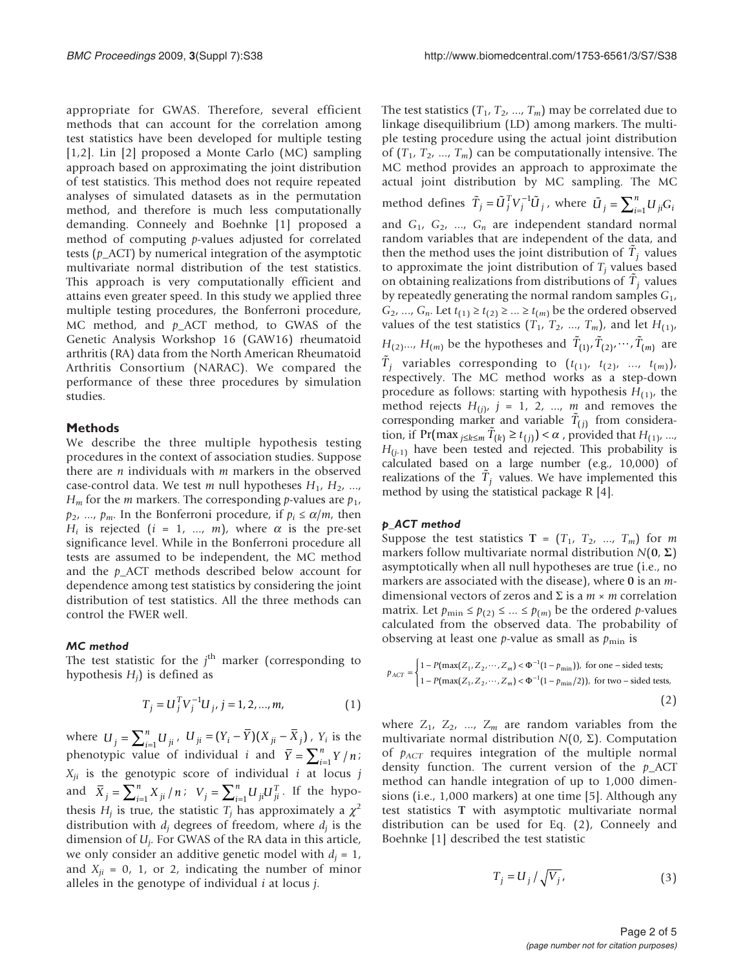appropriate for GWAS. Therefore, several efficient methods that can account for the correlation among test statistics have been developed for multiple testing [[1](#page-4-0),[2](#page-4-0)]. Lin [[2](#page-4-0)] proposed a Monte Carlo (MC) sampling approach based on approximating the joint distribution of test statistics. This method does not require repeated analyses of simulated datasets as in the permutation method, and therefore is much less computationally demanding. Conneely and Boehnke [[1\]](#page-4-0) proposed a method of computing p-values adjusted for correlated tests ( $p_{\text{A}}$ CT) by numerical integration of the asymptotic multivariate normal distribution of the test statistics. This approach is very computationally efficient and attains even greater speed. In this study we applied three multiple testing procedures, the Bonferroni procedure, MC method, and  $p_{\text{A}}$  method, to GWAS of the Genetic Analysis Workshop 16 (GAW16) rheumatoid arthritis (RA) data from the North American Rheumatoid Arthritis Consortium (NARAC). We compared the performance of these three procedures by simulation studies.

# Methods

We describe the three multiple hypothesis testing procedures in the context of association studies. Suppose there are  $n$  individuals with  $m$  markers in the observed case-control data. We test m null hypotheses  $H_1$ ,  $H_2$ , ...,  $H_m$  for the *m* markers. The corresponding *p*-values are  $p_1$ ,  $p_2$ , ...,  $p_m$ . In the Bonferroni procedure, if  $p_i \le \alpha/m$ , then  $H_i$  is rejected (i = 1, ..., m), where  $\alpha$  is the pre-set significance level. While in the Bonferroni procedure all tests are assumed to be independent, the MC method and the p\_ACT methods described below account for dependence among test statistics by considering the joint distribution of test statistics. All the three methods can control the FWER well.

#### MC method

The test statistic for the  $j<sup>th</sup>$  marker (corresponding to hypothesis  $H_i$ ) is defined as

$$
T_j = U_j^T V_j^{-1} U_j, j = 1, 2, ..., m,
$$
 (1)

where  $U_j = \sum_{i=1}^n U_{ji}$ ,  $U_{ji} = (Y_i - \overline{Y})(X_{ji} - \overline{X}_j)$ ,  $Y_i$  is the phenotypic value of individual *i* and  $\overline{Y} = \sum_{i=1}^{n} Y/n$  $X_{ji}$  is the genotypic score of individual i at locus j and  $\bar{X}_j = \sum_{i=1}^n X_{ji} / n; \quad V_j = \sum_{i=1}^n U_{ji} U_j$  $=\sum_{i=1}^n U_{ji} U_{ji}^T$ . If the hypothesis  $H_i$  is true, the statistic  $T_i$  has approximately a  $\chi^2$ distribution with  $d_i$  degrees of freedom, where  $d_i$  is the dimension of  $U_i$ . For GWAS of the RA data in this article, we only consider an additive genetic model with  $d_i = 1$ , and  $X_{ji} = 0$ , 1, or 2, indicating the number of minor alleles in the genotype of individual  $i$  at locus  $j$ .

The test statistics  $(T_1, T_2, ..., T_m)$  may be correlated due to linkage disequilibrium (LD) among markers. The multiple testing procedure using the actual joint distribution of  $(T_1, T_2, ..., T_m)$  can be computationally intensive. The MC method provides an approach to approximate the actual joint distribution by MC sampling. The MC method defines  $\tilde{T}_j = \tilde{U}_j^T V_j^{-1} \tilde{U}_j$ , where  $\tilde{U}_j = \sum_{i=1}^n U_{ji} G_i$ and  $G_1$ ,  $G_2$ , ...,  $G_n$  are independent standard normal random variables that are independent of the data, and then the method uses the joint distribution of  $\tilde{T}_j$  values to approximate the joint distribution of  $T_i$  values based on obtaining realizations from distributions of  $\tilde{T}_j$  values by repeatedly generating the normal random samples  $G_1$ ,  $G_2$ , ...,  $G_n$ . Let  $t_{(1)} \ge t_{(2)} \ge ... \ge t_{(m)}$  be the ordered observed values of the test statistics  $(T_1, T_2, ..., T_m)$ , and let  $H_{(1)}$ ,  $H_{(2)}...$ ,  $H_{(m)}$  be the hypotheses and  $\tilde{T}_{(1)}, \tilde{T}_{(2)}, \cdots, \tilde{T}_{(m)}$  are  $\tilde{T}_j$  variables corresponding to  $(t_{(1)}, t_{(2)}, ..., t_{(m)})$ , respectively. The MC method works as a step-down procedure as follows: starting with hypothesis  $H_{(1)}$ , the method rejects  $H_{(j)}$ ,  $j = 1, 2, ..., m$  and removes the corresponding marker and variable  $\tilde{T}_{(j)}$  from consideration, if  $Pr(\max_{j \le k \le m} T_{(k)} \ge t_{(j)}) < \alpha$ , provided that  $H_{(1)}, ...,$  $H_{(j-1)}$  have been tested and rejected. This probability is calculated based on a large number (e.g., 10,000) of realizations of the  $\tilde{T}_j$  values. We have implemented this method by using the statistical package R [[4\]](#page-4-0).

# p\_ACT method

Suppose the test statistics  $T = (T_1, T_2, ..., T_m)$  for m markers follow multivariate normal distribution  $N(0, \Sigma)$ asymptotically when all null hypotheses are true (i.e., no markers are associated with the disease), where 0 is an mdimensional vectors of zeros and  $\Sigma$  is a  $m \times m$  correlation matrix. Let  $p_{\min} \leq p_{(2)} \leq ... \leq p_{(m)}$  be the ordered *p*-values calculated from the observed data. The probability of observing at least one *p*-value as small as  $p_{\min}$  is

$$
p_{ACT} = \begin{cases} 1 - P(\max(Z_1, Z_2, \dots, Z_m) < \Phi^{-1}(1 - p_{\min})), \text{ for one - sided tests;} \\ 1 - P(\max(Z_1, Z_2, \dots, Z_m) < \Phi^{-1}(1 - p_{\min}/2)), \text{ for two - sided tests,} \end{cases} \tag{2}
$$

where  $Z_1$ ,  $Z_2$ , ...,  $Z_m$  are random variables from the multivariate normal distribution  $N(0, \Sigma)$ . Computation of  $p_{ACT}$  requires integration of the multiple normal density function. The current version of the  $p\_ACT$ method can handle integration of up to 1,000 dimensions (i.e., 1,000 markers) at one time [\[5\]](#page-4-0). Although any test statistics T with asymptotic multivariate normal distribution can be used for Eq. (2), Conneely and Boehnke [[1](#page-4-0)] described the test statistic

$$
T_j = U_j / \sqrt{V_j},\tag{3}
$$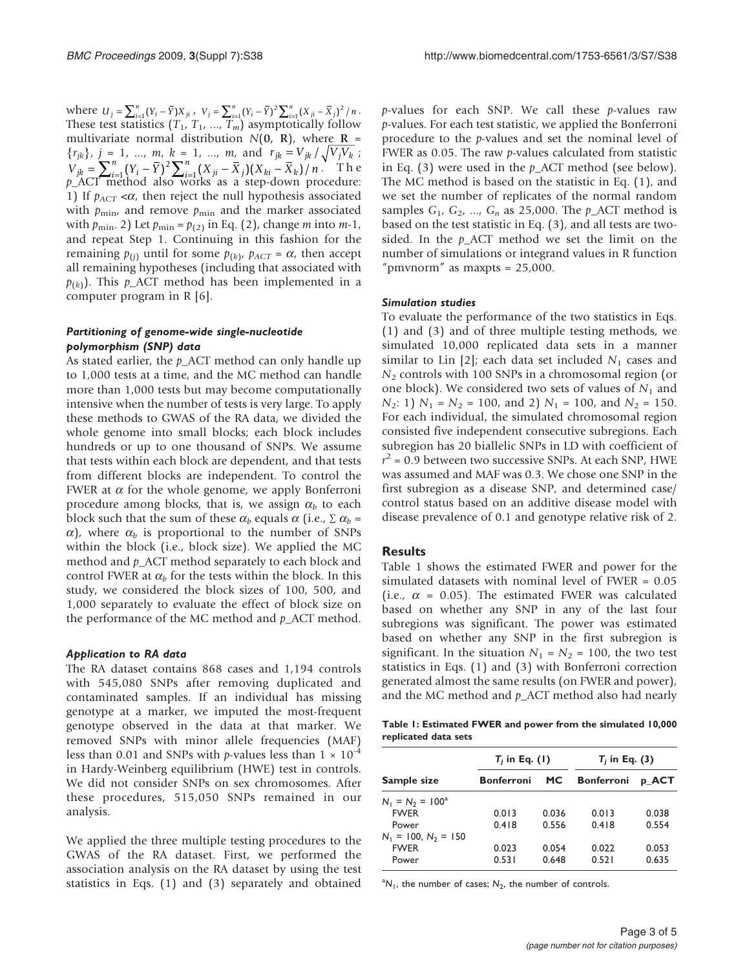where  $U_j = \sum_{i=1}^n (Y_i - \overline{Y}) X_{ji}$ ,  $V_j = \sum_{i=1}^n (Y_i - \overline{Y})^2 \sum_{i=1}^n (X_{ji} - \overline{X}_j)^2 / n$ . These test statistics  $(T_1, T_1, ..., T_m)$  asymptotically follow multivariate normal distribution  $N(0, R)$ , where  $R =$  $\{r_{jk}\}, j = 1, ..., m, k = 1, ..., m, \text{ and } r_{jk} = V_{jk} / \sqrt{V_j V_k}$  $V_{jk} = \sum_{i=1}^{n} (Y_i - \overline{Y})^2 \sum_{i=1}^{n} (X_{ji} - \overline{X}_j)(X_{ki} - \overline{X}_k)/n$  $=\sum_{i=1}^n (Y_i - \bar{Y})^2 \sum_{i=1}^n (X_{ji} - \bar{X}_j)(X_{ki} - \bar{X}_k)/n$ . The  $p_A^{\mu}$ ACT method also works as a step-down procedure: 1) If  $p_{ACT} < \alpha$ , then reject the null hypothesis associated with  $p_{\text{min}}$ , and remove  $p_{\text{min}}$  and the marker associated with  $p_{\min}$ . 2) Let  $p_{\min} = p_{(2)}$  in Eq. (2), change *m* into *m*-1, and repeat Step 1. Continuing in this fashion for the remaining  $p_{(i)}$  until for some  $p_{(k)}$ ,  $p_{ACT} = \alpha$ , then accept all remaining hypotheses (including that associated with  $p(k)$ . This p\_ACT method has been implemented in a computer program in R [[6](#page-4-0)].

# Partitioning of genome-wide single-nucleotide polymorphism (SNP) data

As stated earlier, the  $p_{\text{A}}$  ACT method can only handle up to 1,000 tests at a time, and the MC method can handle more than 1,000 tests but may become computationally intensive when the number of tests is very large. To apply these methods to GWAS of the RA data, we divided the whole genome into small blocks; each block includes hundreds or up to one thousand of SNPs. We assume that tests within each block are dependent, and that tests from different blocks are independent. To control the FWER at  $\alpha$  for the whole genome, we apply Bonferroni procedure among blocks, that is, we assign  $\alpha_b$  to each block such that the sum of these  $\alpha_b$  equals  $\alpha$  (i.e.,  $\Sigma \alpha_b$  =  $\alpha$ ), where  $\alpha_b$  is proportional to the number of SNPs within the block (i.e., block size). We applied the MC method and  $p_{\text{A}}$ CT method separately to each block and control FWER at  $\alpha_b$  for the tests within the block. In this study, we considered the block sizes of 100, 500, and 1,000 separately to evaluate the effect of block size on the performance of the MC method and  $p_{\text{A}}$ CT method.

#### Application to RA data

The RA dataset contains 868 cases and 1,194 controls with 545,080 SNPs after removing duplicated and contaminated samples. If an individual has missing genotype at a marker, we imputed the most-frequent genotype observed in the data at that marker. We removed SNPs with minor allele frequencies (MAF) less than 0.01 and SNPs with *p*-values less than  $1 \times 10^{-4}$ in Hardy-Weinberg equilibrium (HWE) test in controls. We did not consider SNPs on sex chromosomes. After these procedures, 515,050 SNPs remained in our analysis.

We applied the three multiple testing procedures to the GWAS of the RA dataset. First, we performed the association analysis on the RA dataset by using the test statistics in Eqs. (1) and (3) separately and obtained

 $p$ -values for each SNP. We call these  $p$ -values raw p-values. For each test statistic, we applied the Bonferroni procedure to the p-values and set the nominal level of FWER as 0.05. The raw  $p$ -values calculated from statistic in Eq. (3) were used in the  $p_{\text{A}}$  ACT method (see below). The MC method is based on the statistic in Eq. (1), and we set the number of replicates of the normal random samples  $G_1$ ,  $G_2$ , ...,  $G_n$  as 25,000. The  $p\_ACT$  method is based on the test statistic in Eq. (3), and all tests are twosided. In the  $p_{\text{A}}$ CT method we set the limit on the number of simulations or integrand values in R function "pmynorm" as maxpts =  $25,000$ .

#### Simulation studies

To evaluate the performance of the two statistics in Eqs. (1) and (3) and of three multiple testing methods, we simulated 10,000 replicated data sets in a manner similar to Lin [\[2\]](#page-4-0); each data set included  $N_1$  cases and  $N_2$  controls with 100 SNPs in a chromosomal region (or one block). We considered two sets of values of  $N_1$  and  $N_2$ : 1)  $N_1 = N_2 = 100$ , and 2)  $N_1 = 100$ , and  $N_2 = 150$ . For each individual, the simulated chromosomal region consisted five independent consecutive subregions. Each subregion has 20 biallelic SNPs in LD with coefficient of  $r^2$  = 0.9 between two successive SNPs. At each SNP, HWE was assumed and MAF was 0.3. We chose one SNP in the first subregion as a disease SNP, and determined case/ control status based on an additive disease model with disease prevalence of 0.1 and genotype relative risk of 2.

# **Results**

Table 1 shows the estimated FWER and power for the simulated datasets with nominal level of FWER = 0.05 (i.e.,  $\alpha$  = 0.05). The estimated FWER was calculated based on whether any SNP in any of the last four subregions was significant. The power was estimated based on whether any SNP in the first subregion is significant. In the situation  $N_1 = N_2 = 100$ , the two test statistics in Eqs. (1) and (3) with Bonferroni correction generated almost the same results (on FWER and power), and the MC method and  $p_{\text{A}}$ CT method also had nearly

Table 1: Estimated FWER and power from the simulated 10,000 replicated data sets

|                        | $T_i$ in Eq. (1)  |           | $T_i$ in Eq. (3)  |       |  |  |
|------------------------|-------------------|-----------|-------------------|-------|--|--|
| Sample size            | <b>Bonferroni</b> | <b>MC</b> | <b>Bonferroni</b> | p ACT |  |  |
| $N_1 = N_2 = 100^a$    |                   |           |                   |       |  |  |
| <b>FWFR</b>            | 0.013             | 0.036     | 0.013             | 0.038 |  |  |
| Power                  | 0.418             | 0.556     | 0.418             | 0.554 |  |  |
| $N_1 = 100, N_2 = 150$ |                   |           |                   |       |  |  |
| <b>FWER</b>            | 0.023             | 0.054     | 0.022             | 0.053 |  |  |
| Power                  | 0.531             | 0.648     | 0.521             | 0.635 |  |  |

 ${}^{a}N_{1}$ , the number of cases;  $N_{2}$ , the number of controls.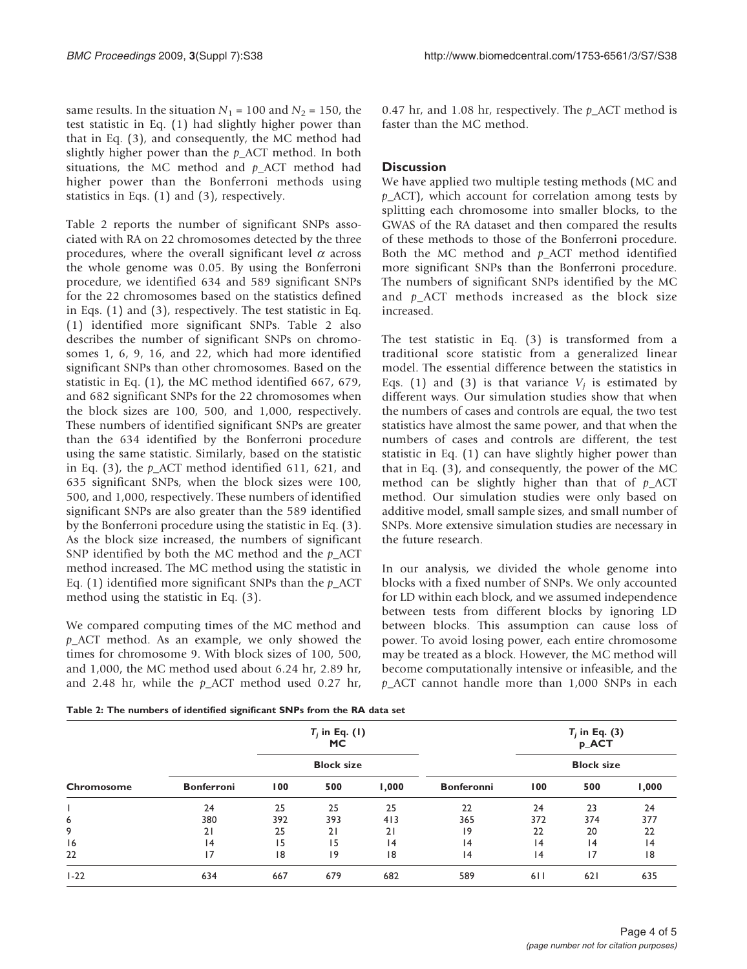same results. In the situation  $N_1$  = 100 and  $N_2$  = 150, the test statistic in Eq. (1) had slightly higher power than that in Eq. (3), and consequently, the MC method had slightly higher power than the  $p_{\text{A}}$ CT method. In both situations, the MC method and  $p_{\text{A}}$ CT method had higher power than the Bonferroni methods using statistics in Eqs. (1) and (3), respectively.

Table 2 reports the number of significant SNPs associated with RA on 22 chromosomes detected by the three procedures, where the overall significant level  $\alpha$  across the whole genome was 0.05. By using the Bonferroni procedure, we identified 634 and 589 significant SNPs for the 22 chromosomes based on the statistics defined in Eqs. (1) and (3), respectively. The test statistic in Eq. (1) identified more significant SNPs. Table 2 also describes the number of significant SNPs on chromosomes 1, 6, 9, 16, and 22, which had more identified significant SNPs than other chromosomes. Based on the statistic in Eq. (1), the MC method identified 667, 679, and 682 significant SNPs for the 22 chromosomes when the block sizes are 100, 500, and 1,000, respectively. These numbers of identified significant SNPs are greater than the 634 identified by the Bonferroni procedure using the same statistic. Similarly, based on the statistic in Eq.  $(3)$ , the  $p_{\text{ACT}}$  method identified 611, 621, and 635 significant SNPs, when the block sizes were 100, 500, and 1,000, respectively. These numbers of identified significant SNPs are also greater than the 589 identified by the Bonferroni procedure using the statistic in Eq. (3). As the block size increased, the numbers of significant SNP identified by both the MC method and the  $p\_ACT$ method increased. The MC method using the statistic in Eq.  $(1)$  identified more significant SNPs than the  $p_{\perp}$ ACT method using the statistic in Eq. (3).

We compared computing times of the MC method and  $p_{\perp}$ ACT method. As an example, we only showed the times for chromosome 9. With block sizes of 100, 500, and 1,000, the MC method used about 6.24 hr, 2.89 hr, and 2.48 hr, while the  $p_{\text{ACT}}$  method used 0.27 hr,

0.47 hr, and 1.08 hr, respectively. The  $p\_ACT$  method is faster than the MC method.

# **Discussion**

We have applied two multiple testing methods (MC and  $p_{\text{A}}$ CT), which account for correlation among tests by splitting each chromosome into smaller blocks, to the GWAS of the RA dataset and then compared the results of these methods to those of the Bonferroni procedure. Both the MC method and  $p_{\text{A}}$ CT method identified more significant SNPs than the Bonferroni procedure. The numbers of significant SNPs identified by the MC and  $p_{ACT}$  methods increased as the block size increased.

The test statistic in Eq. (3) is transformed from a traditional score statistic from a generalized linear model. The essential difference between the statistics in Eqs. (1) and (3) is that variance  $V_i$  is estimated by different ways. Our simulation studies show that when the numbers of cases and controls are equal, the two test statistics have almost the same power, and that when the numbers of cases and controls are different, the test statistic in Eq. (1) can have slightly higher power than that in Eq. (3), and consequently, the power of the MC method can be slightly higher than that of  $p\_ACT$ method. Our simulation studies were only based on additive model, small sample sizes, and small number of SNPs. More extensive simulation studies are necessary in the future research.

In our analysis, we divided the whole genome into blocks with a fixed number of SNPs. We only accounted for LD within each block, and we assumed independence between tests from different blocks by ignoring LD between blocks. This assumption can cause loss of power. To avoid losing power, each entire chromosome may be treated as a block. However, the MC method will become computationally intensive or infeasible, and the p\_ACT cannot handle more than 1,000 SNPs in each

Table 2: The numbers of identified significant SNPs from the RA data set

| Chromosome | $T_i$ in Eq. (1)<br><b>MC</b><br><b>Block size</b> |     |     |       |                   | $T_i$ in Eq. (3)<br>p_ACT<br><b>Block size</b> |     |       |
|------------|----------------------------------------------------|-----|-----|-------|-------------------|------------------------------------------------|-----|-------|
|            |                                                    |     |     |       |                   |                                                |     |       |
|            | <b>Bonferroni</b>                                  | 100 | 500 | 1,000 | <b>Bonferonni</b> | 100                                            | 500 | 1,000 |
|            | 24                                                 | 25  | 25  | 25    | 22                | 24                                             | 23  | 24    |
| 6          | 380                                                | 392 | 393 | 413   | 365               | 372                                            | 374 | 377   |
| 9          | 21                                                 | 25  | 21  | 21    | 19                | 22                                             | 20  | 22    |
| 16         | 4                                                  | 15  | 15  | 4     | 14                | 4                                              | 4   | 14    |
| 22         | 17                                                 | 8   | 9   | 8     | 4                 | 4                                              | 17  | 18    |
| $1 - 22$   | 634                                                | 667 | 679 | 682   | 589               | 611                                            | 621 | 635   |